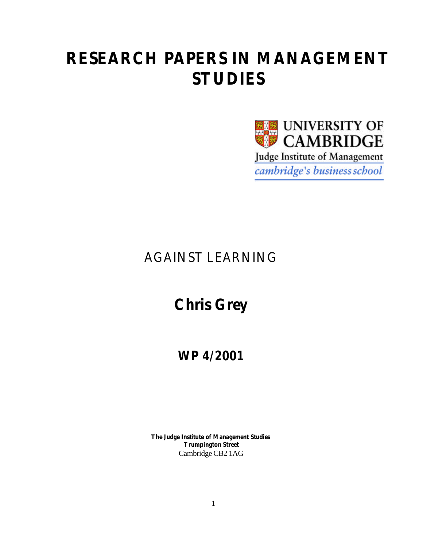# **RESEARCH PAPERS IN MANAGEMENT STUDIES**



### AGAINST LEARNING

## **Chris Grey**

**WP 4/2001**

**The Judge Institute of Management Studies Trumpington Street** Cambridge CB2 1AG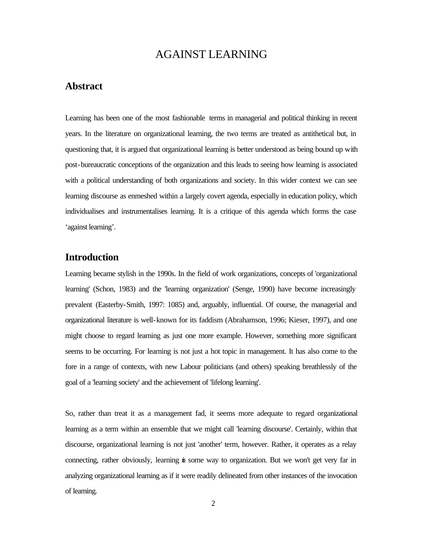### AGAINST LEARNING

#### **Abstract**

Learning has been one of the most fashionable terms in managerial and political thinking in recent years. In the literature on organizational learning, the two terms are treated as antithetical but, in questioning that, it is argued that organizational learning is better understood as being bound up with post-bureaucratic conceptions of the organization and this leads to seeing how learning is associated with a political understanding of both organizations and society. In this wider context we can see learning discourse as enmeshed within a largely covert agenda, especially in education policy, which individualises and instrumentalises learning. It is a critique of this agenda which forms the case 'against learning'.

#### **Introduction**

Learning became stylish in the 1990s. In the field of work organizations, concepts of 'organizational learning' (Schon, 1983) and the 'learning organization' (Senge, 1990) have become increasingly prevalent (Easterby-Smith, 1997: 1085) and, arguably, influential. Of course, the managerial and organizational literature is well-known for its faddism (Abrahamson, 1996; Kieser, 1997), and one might choose to regard learning as just one more example. However, something more significant seems to be occurring. For learning is not just a hot topic in management. It has also come to the fore in a range of contexts, with new Labour politicians (and others) speaking breathlessly of the goal of a 'learning society' and the achievement of 'lifelong learning'.

So, rather than treat it as a management fad, it seems more adequate to regard organizational learning as a term within an ensemble that we might call 'learning discourse'. Certainly, within that discourse, organizational learning is not just 'another' term, however. Rather, it operates as a relay connecting, rather obviously, learning in some way to organization. But we won't get very far in analyzing organizational learning as if it were readily delineated from other instances of the invocation of learning.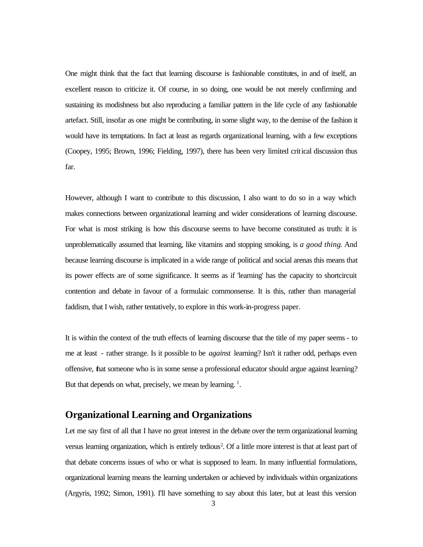One might think that the fact that learning discourse is fashionable constitutes, in and of itself, an excellent reason to criticize it. Of course, in so doing, one would be not merely confirming and sustaining its modishness but also reproducing a familiar pattern in the life cycle of any fashionable artefact. Still, insofar as one might be contributing, in some slight way, to the demise of the fashion it would have its temptations. In fact at least as regards organizational learning, with a few exceptions (Coopey, 1995; Brown, 1996; Fielding, 1997), there has been very limited critical discussion thus far.

However, although I want to contribute to this discussion, I also want to do so in a way which makes connections between organizational learning and wider considerations of learning discourse. For what is most striking is how this discourse seems to have become constituted as truth: it is unproblematically assumed that learning, like vitamins and stopping smoking, is *a good thing*. And because learning discourse is implicated in a wide range of political and social arenas this means that its power effects are of some significance. It seems as if 'learning' has the capacity to shortcircuit contention and debate in favour of a formulaic commonsense. It is this, rather than managerial faddism, that I wish, rather tentatively, to explore in this work-in-progress paper.

It is within the context of the truth effects of learning discourse that the title of my paper seems - to me at least - rather strange. Is it possible to be *against* learning? Isn't it rather odd, perhaps even offensive, that someone who is in some sense a professional educator should argue against learning? But that depends on what, precisely, we mean by learning.<sup>1</sup>.

#### **Organizational Learning and Organizations**

Let me say first of all that I have no great interest in the debate over the term organizational learning versus learning organization, which is entirely tedious<sup>2</sup>. Of a little more interest is that at least part of that debate concerns issues of who or what is supposed to learn. In many influential formulations, organizational learning means the learning undertaken or achieved by individuals within organizations (Argyris, 1992; Simon, 1991). I'll have something to say about this later, but at least this version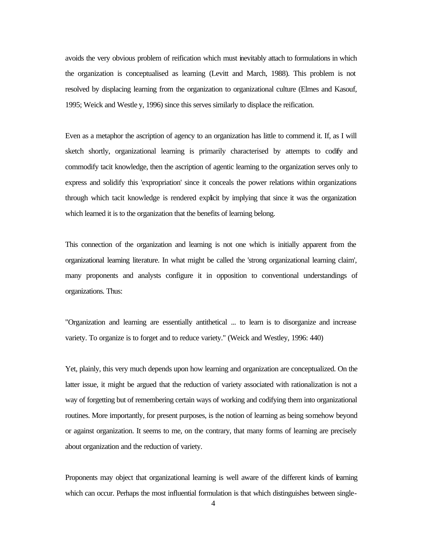avoids the very obvious problem of reification which must inevitably attach to formulations in which the organization is conceptualised as learning (Levitt and March, 1988). This problem is not resolved by displacing learning from the organization to organizational culture (Elmes and Kasouf, 1995; Weick and Westle y, 1996) since this serves similarly to displace the reification.

Even as a metaphor the ascription of agency to an organization has little to commend it. If, as I will sketch shortly, organizational learning is primarily characterised by attempts to codify and commodify tacit knowledge, then the ascription of agentic learning to the organization serves only to express and solidify this 'expropriation' since it conceals the power relations within organizations through which tacit knowledge is rendered explicit by implying that since it was the organization which learned it is to the organization that the benefits of learning belong.

This connection of the organization and learning is not one which is initially apparent from the organizational learning literature. In what might be called the 'strong organizational learning claim', many proponents and analysts configure it in opposition to conventional understandings of organizations. Thus:

"Organization and learning are essentially antithetical ... to learn is to disorganize and increase variety. To organize is to forget and to reduce variety." (Weick and Westley, 1996: 440)

Yet, plainly, this very much depends upon how learning and organization are conceptualized. On the latter issue, it might be argued that the reduction of variety associated with rationalization is not a way of forgetting but of remembering certain ways of working and codifying them into organizational routines. More importantly, for present purposes, is the notion of learning as being somehow beyond or against organization. It seems to me, on the contrary, that many forms of learning are precisely about organization and the reduction of variety.

Proponents may object that organizational learning is well aware of the different kinds of learning which can occur. Perhaps the most influential formulation is that which distinguishes between single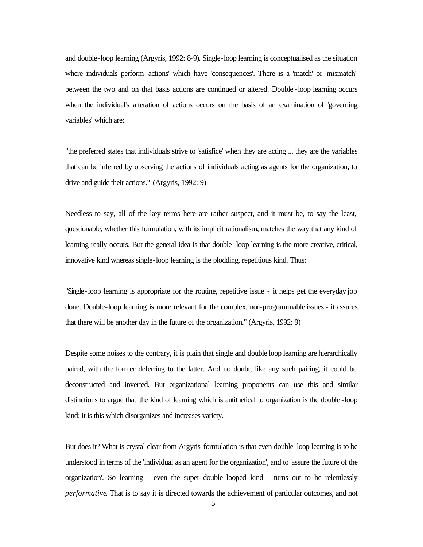and double-loop learning (Argyris, 1992: 8-9). Single-loop learning is conceptualised as the situation where individuals perform 'actions' which have 'consequences'. There is a 'match' or 'mismatch' between the two and on that basis actions are continued or altered. Double -loop learning occurs when the individual's alteration of actions occurs on the basis of an examination of 'governing variables' which are:

"the preferred states that individuals strive to 'satisfice' when they are acting ... they are the variables that can be inferred by observing the actions of individuals acting as agents for the organization, to drive and guide their actions." (Argyris, 1992: 9)

Needless to say, all of the key terms here are rather suspect, and it must be, to say the least, questionable, whether this formulation, with its implicit rationalism, matches the way that any kind of learning really occurs. But the general idea is that double -loop learning is the more creative, critical, innovative kind whereas single-loop learning is the plodding, repetitious kind. Thus:

"Single-loop learning is appropriate for the routine, repetitive issue - it helps get the everyday job done. Double-loop learning is more relevant for the complex, non-programmable issues - it assures that there will be another day in the future of the organization." (Argyris, 1992: 9)

Despite some noises to the contrary, it is plain that single and double loop learning are hierarchically paired, with the former deferring to the latter. And no doubt, like any such pairing, it could be deconstructed and inverted. But organizational learning proponents can use this and similar distinctions to argue that the kind of learning which is antithetical to organization is the double -loop kind: it is this which disorganizes and increases variety.

But does it? What is crystal clear from Argyris' formulation is that even double-loop learning is to be understood in terms of the 'individual as an agent for the organization', and to 'assure the future of the organization'. So learning - even the super double-looped kind - turns out to be relentlessly *performative*. That is to say it is directed towards the achievement of particular outcomes, and not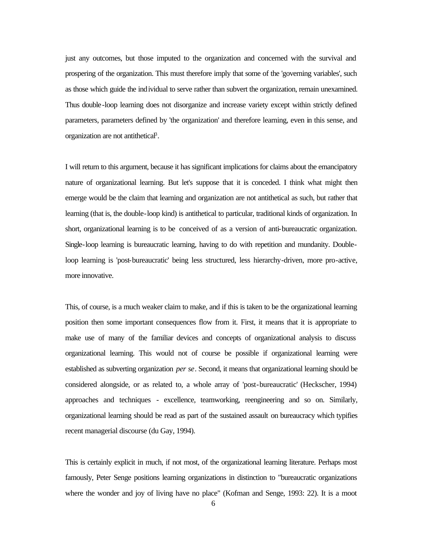just any outcomes, but those imputed to the organization and concerned with the survival and prospering of the organization. This must therefore imply that some of the 'governing variables', such as those which guide the individual to serve rather than subvert the organization, remain unexamined. Thus double-loop learning does not disorganize and increase variety except within strictly defined parameters, parameters defined by 'the organization' and therefore learning, even in this sense, and organization are not antithetical<sup>3</sup>.

I will return to this argument, because it has significant implications for claims about the emancipatory nature of organizational learning. But let's suppose that it is conceded. I think what might then emerge would be the claim that learning and organization are not antithetical as such, but rather that learning (that is, the double-loop kind) is antithetical to particular, traditional kinds of organization. In short, organizational learning is to be conceived of as a version of anti-bureaucratic organization. Single-loop learning is bureaucratic learning, having to do with repetition and mundanity. Doubleloop learning is 'post-bureaucratic' being less structured, less hierarchy-driven, more pro-active, more innovative.

This, of course, is a much weaker claim to make, and if this is taken to be the organizational learning position then some important consequences flow from it. First, it means that it is appropriate to make use of many of the familiar devices and concepts of organizational analysis to discuss organizational learning. This would not of course be possible if organizational learning were established as subverting organization *per se*. Second, it means that organizational learning should be considered alongside, or as related to, a whole array of 'post-bureaucratic' (Heckscher, 1994) approaches and techniques - excellence, teamworking, reengineering and so on. Similarly, organizational learning should be read as part of the sustained assault on bureaucracy which typifies recent managerial discourse (du Gay, 1994).

This is certainly explicit in much, if not most, of the organizational learning literature. Perhaps most famously, Peter Senge positions learning organizations in distinction to "bureaucratic organizations where the wonder and joy of living have no place" (Kofman and Senge, 1993: 22). It is a moot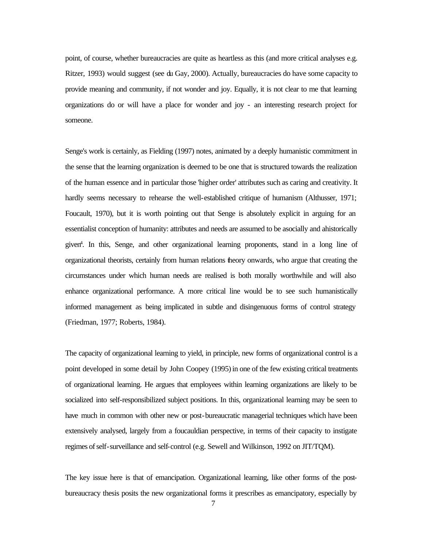point, of course, whether bureaucracies are quite as heartless as this (and more critical analyses e.g. Ritzer, 1993) would suggest (see du Gay, 2000). Actually, bureaucracies do have some capacity to provide meaning and community, if not wonder and joy. Equally, it is not clear to me that learning organizations do or will have a place for wonder and joy - an interesting research project for someone.

Senge's work is certainly, as Fielding (1997) notes, animated by a deeply humanistic commitment in the sense that the learning organization is deemed to be one that is structured towards the realization of the human essence and in particular those 'higher order' attributes such as caring and creativity. It hardly seems necessary to rehearse the well-established critique of humanism (Althusser, 1971; Foucault, 1970), but it is worth pointing out that Senge is absolutely explicit in arguing for an essentialist conception of humanity: attributes and needs are assumed to be asocially and ahistorically given<sup>4</sup> . In this, Senge, and other organizational learning proponents, stand in a long line of organizational theorists, certainly from human relations theory onwards, who argue that creating the circumstances under which human needs are realised is both morally worthwhile and will also enhance organizational performance. A more critical line would be to see such humanistically informed management as being implicated in subtle and disingenuous forms of control strategy (Friedman, 1977; Roberts, 1984).

The capacity of organizational learning to yield, in principle, new forms of organizational control is a point developed in some detail by John Coopey (1995) in one of the few existing critical treatments of organizational learning. He argues that employees within learning organizations are likely to be socialized into self-responsibilized subject positions. In this, organizational learning may be seen to have much in common with other new or post-bureaucratic managerial techniques which have been extensively analysed, largely from a foucauldian perspective, in terms of their capacity to instigate regimes of self-surveillance and self-control (e.g. Sewell and Wilkinson, 1992 on JIT/TQM).

The key issue here is that of emancipation. Organizational learning, like other forms of the postbureaucracy thesis posits the new organizational forms it prescribes as emancipatory, especially by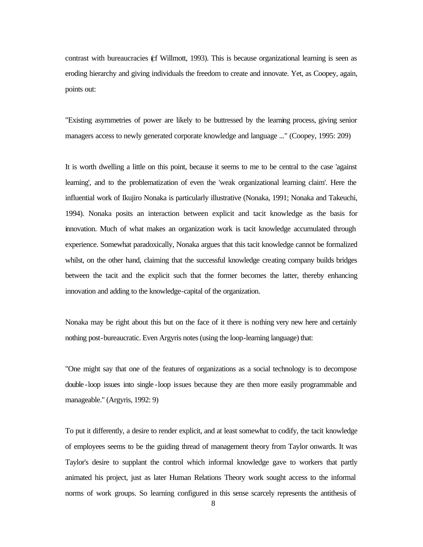contrast with bureaucracies (cf Willmott, 1993). This is because organizational learning is seen as eroding hierarchy and giving individuals the freedom to create and innovate. Yet, as Coopey, again, points out:

"Existing asymmetries of power are likely to be buttressed by the learning process, giving senior managers access to newly generated corporate knowledge and language ..." (Coopey, 1995: 209)

It is worth dwelling a little on this point, because it seems to me to be central to the case 'against learning', and to the problematization of even the 'weak organizational learning claim'. Here the influential work of Ikujiro Nonaka is particularly illustrative (Nonaka, 1991; Nonaka and Takeuchi, 1994). Nonaka posits an interaction between explicit and tacit knowledge as the basis for innovation. Much of what makes an organization work is tacit knowledge accumulated through experience. Somewhat paradoxically, Nonaka argues that this tacit knowledge cannot be formalized whilst, on the other hand, claiming that the successful knowledge creating company builds bridges between the tacit and the explicit such that the former becomes the latter, thereby enhancing innovation and adding to the knowledge-capital of the organization.

Nonaka may be right about this but on the face of it there is nothing very new here and certainly nothing post-bureaucratic. Even Argyris notes (using the loop-learning language) that:

"One might say that one of the features of organizations as a social technology is to decompose double -loop issues into single -loop issues because they are then more easily programmable and manageable." (Argyris, 1992: 9)

To put it differently, a desire to render explicit, and at least somewhat to codify, the tacit knowledge of employees seems to be the guiding thread of management theory from Taylor onwards. It was Taylor's desire to supplant the control which informal knowledge gave to workers that partly animated his project, just as later Human Relations Theory work sought access to the informal norms of work groups. So learning configured in this sense scarcely represents the antithesis of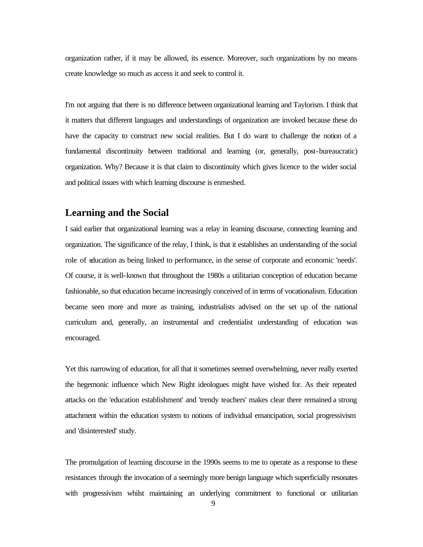organization rather, if it may be allowed, its essence. Moreover, such organizations by no means create knowledge so much as access it and seek to control it.

I'm not arguing that there is no difference between organizational learning and Taylorism. I think that it matters that different languages and understandings of organization are invoked because these do have the capacity to construct new social realities. But I do want to challenge the notion of a fundamental discontinuity between traditional and learning (or, generally, post-bureaucratic) organization. Why? Because it is that claim to discontinuity which gives licence to the wider social and political issues with which learning discourse is enmeshed.

#### **Learning and the Social**

I said earlier that organizational learning was a relay in learning discourse, connecting learning and organization. The significance of the relay, I think, is that it establishes an understanding of the social role of education as being linked to performance, in the sense of corporate and economic 'needs'. Of course, it is well-known that throughout the 1980s a utilitarian conception of education became fashionable, so that education became increasingly conceived of in terms of vocationalism. Education became seen more and more as training, industrialists advised on the set up of the national curriculum and, generally, an instrumental and credentialist understanding of education was encouraged.

Yet this narrowing of education, for all that it sometimes seemed overwhelming, never really exerted the hegemonic influence which New Right ideologues might have wished for. As their repeated attacks on the 'education establishment' and 'trendy teachers' makes clear there remained a strong attachment within the education system to notions of individual emancipation, social progressivism and 'disinterested' study.

The promulgation of learning discourse in the 1990s seems to me to operate as a response to these resistances through the invocation of a seemingly more benign language which superficially resonates with progressivism whilst maintaining an underlying commitment to functional or utilitarian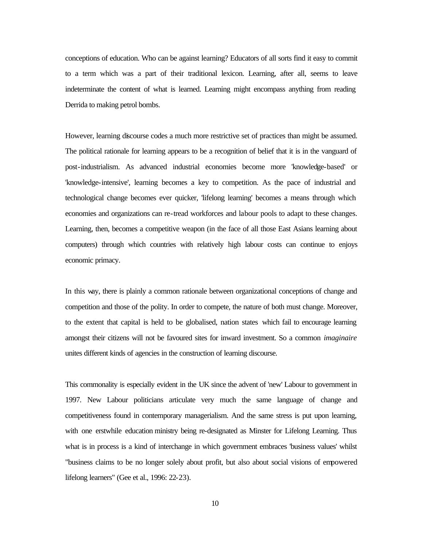conceptions of education. Who can be against learning? Educators of all sorts find it easy to commit to a term which was a part of their traditional lexicon. Learning, after all, seems to leave indeterminate the content of what is learned. Learning might encompass anything from reading Derrida to making petrol bombs.

However, learning discourse codes a much more restrictive set of practices than might be assumed. The political rationale for learning appears to be a recognition of belief that it is in the vanguard of post-industrialism. As advanced industrial economies become more 'knowledge-based' or 'knowledge-intensive', learning becomes a key to competition. As the pace of industrial and technological change becomes ever quicker, 'lifelong learning' becomes a means through which economies and organizations can re-tread workforces and labour pools to adapt to these changes. Learning, then, becomes a competitive weapon (in the face of all those East Asians learning about computers) through which countries with relatively high labour costs can continue to enjoys economic primacy.

In this way, there is plainly a common rationale between organizational conceptions of change and competition and those of the polity. In order to compete, the nature of both must change. Moreover, to the extent that capital is held to be globalised, nation states which fail to encourage learning amongst their citizens will not be favoured sites for inward investment. So a common *imaginaire* unites different kinds of agencies in the construction of learning discourse.

This commonality is especially evident in the UK since the advent of 'new' Labour to government in 1997. New Labour politicians articulate very much the same language of change and competitiveness found in contemporary managerialism. And the same stress is put upon learning, with one erstwhile education ministry being re-designated as Minster for Lifelong Learning. Thus what is in process is a kind of interchange in which government embraces 'business values' whilst "business claims to be no longer solely about profit, but also about social visions of empowered lifelong learners" (Gee et al., 1996: 22-23).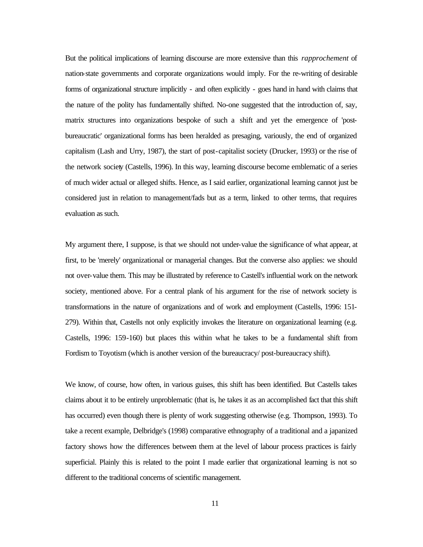But the political implications of learning discourse are more extensive than this *rapprochement* of nation-state governments and corporate organizations would imply. For the re-writing of desirable forms of organizational structure implicitly - and often explicitly - goes hand in hand with claims that the nature of the polity has fundamentally shifted. No-one suggested that the introduction of, say, matrix structures into organizations bespoke of such a shift and yet the emergence of 'postbureaucratic' organizational forms has been heralded as presaging, variously, the end of organized capitalism (Lash and Urry, 1987), the start of post-capitalist society (Drucker, 1993) or the rise of the network society (Castells, 1996). In this way, learning discourse become emblematic of a series of much wider actual or alleged shifts. Hence, as I said earlier, organizational learning cannot just be considered just in relation to management/fads but as a term, linked to other terms, that requires evaluation as such.

My argument there, I suppose, is that we should not under-value the significance of what appear, at first, to be 'merely' organizational or managerial changes. But the converse also applies: we should not over-value them. This may be illustrated by reference to Castell's influential work on the network society, mentioned above. For a central plank of his argument for the rise of network society is transformations in the nature of organizations and of work and employment (Castells, 1996: 151- 279). Within that, Castells not only explicitly invokes the literature on organizational learning (e.g. Castells, 1996: 159-160) but places this within what he takes to be a fundamental shift from Fordism to Toyotism (which is another version of the bureaucracy/ post-bureaucracy shift).

We know, of course, how often, in various guises, this shift has been identified. But Castells takes claims about it to be entirely unproblematic (that is, he takes it as an accomplished fact that this shift has occurred) even though there is plenty of work suggesting otherwise (e.g. Thompson, 1993). To take a recent example, Delbridge's (1998) comparative ethnography of a traditional and a japanized factory shows how the differences between them at the level of labour process practices is fairly superficial. Plainly this is related to the point I made earlier that organizational learning is not so different to the traditional concerns of scientific management.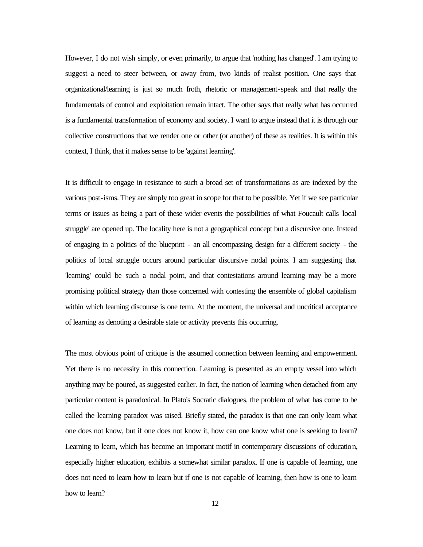However, I do not wish simply, or even primarily, to argue that 'nothing has changed'. I am trying to suggest a need to steer between, or away from, two kinds of realist position. One says that organizational/learning is just so much froth, rhetoric or management-speak and that really the fundamentals of control and exploitation remain intact. The other says that really what has occurred is a fundamental transformation of economy and society. I want to argue instead that it is through our collective constructions that we render one or other (or another) of these as realities. It is within this context, I think, that it makes sense to be 'against learning'.

It is difficult to engage in resistance to such a broad set of transformations as are indexed by the various post-isms. They are simply too great in scope for that to be possible. Yet if we see particular terms or issues as being a part of these wider events the possibilities of what Foucault calls 'local struggle' are opened up. The locality here is not a geographical concept but a discursive one. Instead of engaging in a politics of the blueprint - an all encompassing design for a different society - the politics of local struggle occurs around particular discursive nodal points. I am suggesting that 'learning' could be such a nodal point, and that contestations around learning may be a more promising political strategy than those concerned with contesting the ensemble of global capitalism within which learning discourse is one term. At the moment, the universal and uncritical acceptance of learning as denoting a desirable state or activity prevents this occurring.

The most obvious point of critique is the assumed connection between learning and empowerment. Yet there is no necessity in this connection. Learning is presented as an empty vessel into which anything may be poured, as suggested earlier. In fact, the notion of learning when detached from any particular content is paradoxical. In Plato's Socratic dialogues, the problem of what has come to be called the learning paradox was raised. Briefly stated, the paradox is that one can only learn what one does not know, but if one does not know it, how can one know what one is seeking to learn? Learning to learn, which has become an important motif in contemporary discussions of education, especially higher education, exhibits a somewhat similar paradox. If one is capable of learning, one does not need to learn how to learn but if one is not capable of learning, then how is one to learn how to learn?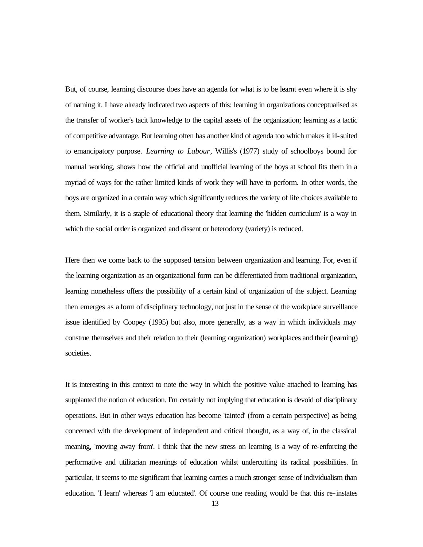But, of course, learning discourse does have an agenda for what is to be learnt even where it is shy of naming it. I have already indicated two aspects of this: learning in organizations conceptualised as the transfer of worker's tacit knowledge to the capital assets of the organization; learning as a tactic of competitive advantage. But learning often has another kind of agenda too which makes it ill-suited to emancipatory purpose. *Learning to Labour*, Willis's (1977) study of schoolboys bound for manual working, shows how the official and unofficial learning of the boys at school fits them in a myriad of ways for the rather limited kinds of work they will have to perform. In other words, the boys are organized in a certain way which significantly reduces the variety of life choices available to them. Similarly, it is a staple of educational theory that learning the 'hidden curriculum' is a way in which the social order is organized and dissent or heterodoxy (variety) is reduced.

Here then we come back to the supposed tension between organization and learning. For, even if the learning organization as an organizational form can be differentiated from traditional organization, learning nonetheless offers the possibility of a certain kind of organization of the subject. Learning then emerges as a form of disciplinary technology, not just in the sense of the workplace surveillance issue identified by Coopey (1995) but also, more generally, as a way in which individuals may construe themselves and their relation to their (learning organization) workplaces and their (learning) societies.

It is interesting in this context to note the way in which the positive value attached to learning has supplanted the notion of education. I'm certainly not implying that education is devoid of disciplinary operations. But in other ways education has become 'tainted' (from a certain perspective) as being concerned with the development of independent and critical thought, as a way of, in the classical meaning, 'moving away from'. I think that the new stress on learning is a way of re-enforcing the performative and utilitarian meanings of education whilst undercutting its radical possibilities. In particular, it seems to me significant that learning carries a much stronger sense of individualism than education. 'I learn' whereas 'I am educated'. Of course one reading would be that this re-instates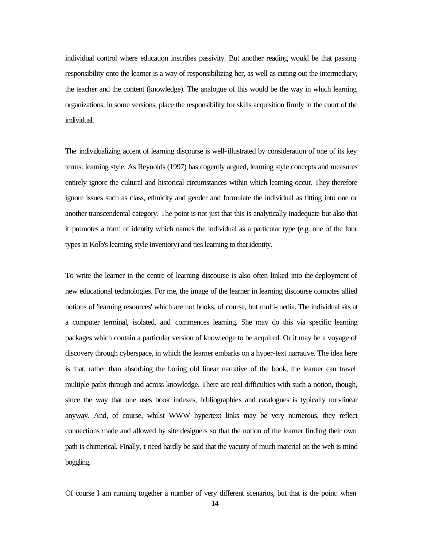individual control where education inscribes passivity. But another reading would be that passing responsibility onto the learner is a way of responsibilizing her, as well as cutting out the intermediary, the teacher and the content (knowledge). The analogue of this would be the way in which learning organizations, in some versions, place the responsibility for skills acquisition firmly in the court of the individual.

The individualizing accent of learning discourse is well-illustrated by consideration of one of its key terms: learning style. As Reynolds (1997) has cogently argued, learning style concepts and measures entirely ignore the cultural and historical circumstances within which learning occur. They therefore ignore issues such as class, ethnicity and gender and formulate the individual as fitting into one or another transcendental category. The point is not just that this is analytically inadequate but also that it promotes a form of identity which names the individual as a particular type (e.g. one of the four types in Kolb's learning style inventory) and ties learning to that identity.

To write the learner in the centre of learning discourse is also often linked into the deployment of new educational technologies. For me, the image of the learner in learning discourse connotes allied notions of 'learning resources' which are not books, of course, but multi-media. The individual sits at a computer terminal, isolated, and commences learning. She may do this via specific learning packages which contain a particular version of knowledge to be acquired. Or it may be a voyage of discovery through cyberspace, in which the learner embarks on a hyper-text narrative. The idea here is that, rather than absorbing the boring old linear narrative of the book, the learner can travel multiple paths through and across knowledge. There are real difficulties with such a notion, though, since the way that one uses book indexes, bibliographies and catalogues is typically non-linear anyway. And, of course, whilst WWW hypertext links may be very numerous, they reflect connections made and allowed by site designers so that the notion of the learner finding their own path is chimerical. Finally, it need hardly be said that the vacuity of much material on the web is mind boggling.

Of course I am running together a number of very different scenarios, but that is the point: when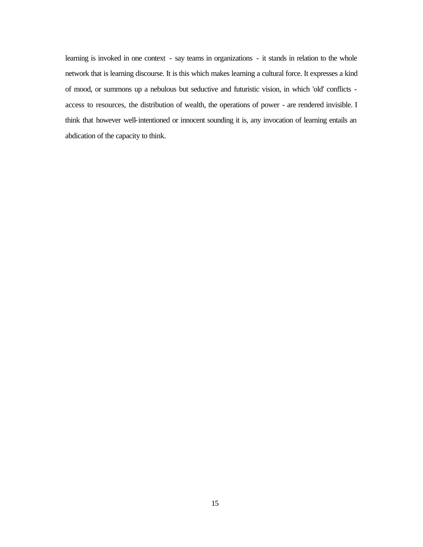learning is invoked in one context - say teams in organizations - it stands in relation to the whole network that is learning discourse. It is this which makes learning a cultural force. It expresses a kind of mood, or summons up a nebulous but seductive and futuristic vision, in which 'old' conflicts access to resources, the distribution of wealth, the operations of power - are rendered invisible. I think that however well-intentioned or innocent sounding it is, any invocation of learning entails an abdication of the capacity to think.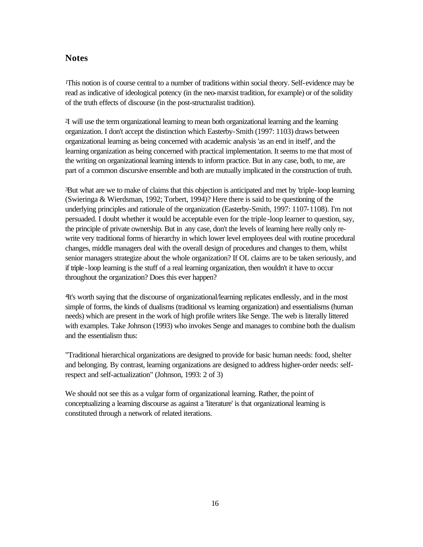#### **Notes**

<sup>1</sup>This notion is of course central to a number of traditions within social theory. Self-evidence may be read as indicative of ideological potency (in the neo-marxist tradition, for example) or of the solidity of the truth effects of discourse (in the post-structuralist tradition).

<sup>2</sup>I will use the term organizational learning to mean both organizational learning and the learning organization. I don't accept the distinction which Easterby-Smith (1997: 1103) draws between organizational learning as being concerned with academic analysis 'as an end in itself', and the learning organization as being concerned with practical implementation. It seems to me that most of the writing on organizational learning intends to inform practice. But in any case, both, to me, are part of a common discursive ensemble and both are mutually implicated in the construction of truth.

<sup>3</sup>But what are we to make of claims that this objection is anticipated and met by 'triple-loop learning (Swieringa & Wierdsman, 1992; Torbert, 1994)? Here there is said to be questioning of the underlying principles and rationale of the organization (Easterby-Smith, 1997: 1107-1108). I'm not persuaded. I doubt whether it would be acceptable even for the triple-loop learner to question, say, the principle of private ownership. But in any case, don't the levels of learning here really only rewrite very traditional forms of hierarchy in which lower level employees deal with routine procedural changes, middle managers deal with the overall design of procedures and changes to them, whilst senior managers strategize about the whole organization? If OL claims are to be taken seriously, and if triple -loop learning is the stuff of a real learning organization, then wouldn't it have to occur throughout the organization? Does this ever happen?

<sup>4</sup>It's worth saying that the discourse of organizational/learning replicates endlessly, and in the most simple of forms, the kinds of dualisms (traditional vs learning organization) and essentialisms (human needs) which are present in the work of high profile writers like Senge. The web is literally littered with examples. Take Johnson (1993) who invokes Senge and manages to combine both the dualism and the essentialism thus:

"Traditional hierarchical organizations are designed to provide for basic human needs: food, shelter and belonging. By contrast, learning organizations are designed to address higher-order needs: selfrespect and self-actualization" (Johnson, 1993: 2 of 3)

We should not see this as a vulgar form of organizational learning. Rather, the point of conceptualizing a learning discourse as against a 'literature' is that organizational learning is constituted through a network of related iterations.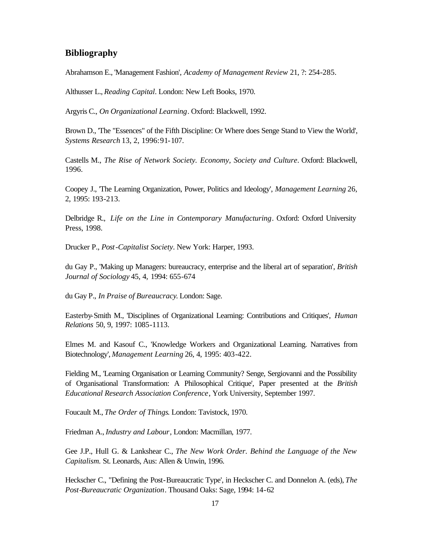#### **Bibliography**

Abrahamson E., 'Management Fashion', *Academy of Management Review* 21, ?: 254-285.

Althusser L., *Reading Capital*. London: New Left Books, 1970.

Argyris C., *On Organizational Learning*. Oxford: Blackwell, 1992.

Brown D., 'The "Essences" of the Fifth Discipline: Or Where does Senge Stand to View the World', *Systems Research* 13, 2, 1996: 91-107.

Castells M., *The Rise of Network Society. Economy, Society and Culture*. Oxford: Blackwell, 1996.

Coopey J., 'The Learning Organization, Power, Politics and Ideology', *Management Learning* 26, 2, 1995: 193-213.

Delbridge R., *Life on the Line in Contemporary Manufacturing*. Oxford: Oxford University Press, 1998.

Drucker P., *Post-Capitalist Society*. New York: Harper, 1993.

du Gay P., 'Making up Managers: bureaucracy, enterprise and the liberal art of separation', *British Journal of Sociology* 45, 4, 1994: 655-674

du Gay P., *In Praise of Bureaucracy*. London: Sage.

Easterby-Smith M., 'Disciplines of Organizational Learning: Contributions and Critiques', *Human Relations* 50, 9, 1997: 1085-1113.

Elmes M. and Kasouf C., 'Knowledge Workers and Organizational Learning. Narratives from Biotechnology', *Management Learning* 26, 4, 1995: 403-422.

Fielding M., 'Learning Organisation or Learning Community? Senge, Sergiovanni and the Possibility of Organisational Transformation: A Philosophical Critique', Paper presented at the *British Educational Research Association Conference*, York University, September 1997.

Foucault M., *The Order of Things*. London: Tavistock, 1970.

Friedman A., *Industry and Labour*, London: Macmillan, 1977.

Gee J.P., Hull G. & Lankshear C., *The New Work Order. Behind the Language of the New Capitalism.* St. Leonards, Aus: Allen & Unwin, 1996.

Heckscher C., "Defining the Post-Bureaucratic Type', in Heckscher C. and Donnelon A. (eds), *The Post-Bureaucratic Organization*. Thousand Oaks: Sage, 1994: 14-62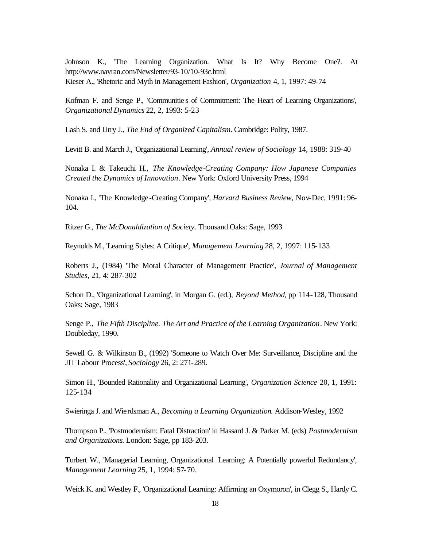Johnson K., 'The Learning Organization. What Is It? Why Become One?. At http://www.navran.com/Newsletter/93-10/10-93c.html Kieser A., 'Rhetoric and Myth in Management Fashion', *Organization* 4, 1, 1997: 49-74

Kofman F. and Senge P., 'Communitie s of Commitment: The Heart of Learning Organizations', *Organizational Dynamics* 22, 2, 1993: 5-23

Lash S. and Urry J., *The End of Organized Capitalism*. Cambridge: Polity, 1987.

Levitt B. and March J., 'Organizational Learning', *Annual review of Sociology* 14, 1988: 319-40

Nonaka I. & Takeuchi H., *The Knowledge-Creating Company: How Japanese Companies Created the Dynamics of Innovation*. New York: Oxford University Press, 1994

Nonaka I., 'The Knowledge-Creating Company', *Harvard Business Review*, Nov-Dec, 1991: 96- 104.

Ritzer G., *The McDonaldization of Society*. Thousand Oaks: Sage, 1993

Reynolds M., 'Learning Styles: A Critique', *Management Learning* 28, 2, 1997: 115-133

Roberts J., (1984) 'The Moral Character of Management Practice', *Journal of Management Studies*, 21, 4: 287-302

Schon D., 'Organizational Learning', in Morgan G. (ed.), *Beyond Method*, pp 114-128, Thousand Oaks: Sage, 1983

Senge P., *The Fifth Discipline. The Art and Practice of the Learning Organization*. New York: Doubleday, 1990.

Sewell G. & Wilkinson B., (1992) 'Someone to Watch Over Me: Surveillance, Discipline and the JIT Labour Process', *Sociology* 26, 2: 271-289.

Simon H., 'Bounded Rationality and Organizational Learning', *Organization Science* 20, 1, 1991: 125-134

Swieringa J. and Wierdsman A., *Becoming a Learning Organization*. Addison-Wesley, 1992

Thompson P., 'Postmodernism: Fatal Distraction' in Hassard J. & Parker M. (eds) *Postmodernism and Organizations*. London: Sage, pp 183-203.

Torbert W., 'Managerial Learning, Organizational Learning: A Potentially powerful Redundancy', *Management Learning* 25, 1, 1994: 57-70.

Weick K. and Westley F., 'Organizational Learning: Affirming an Oxymoron', in Clegg S., Hardy C.